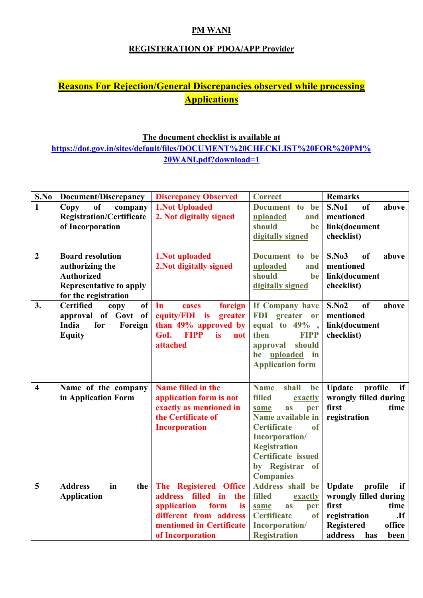## PM WANI

## REGISTERATION OF PDOA/APP Provider

## Reasons For Rejection/General Discrepancies observed while processing **Applications**

## The document checklist is available at https://dot.gov.in/sites/default/files/DOCUMENT%20CHECKLIST%20FOR%20PM% 20WANI.pdf?download=1

| S.No                    | Document/Discrepancy                                            | <b>Discrepancy Observed</b>                      | <b>Correct</b>                        | <b>Remarks</b>                         |
|-------------------------|-----------------------------------------------------------------|--------------------------------------------------|---------------------------------------|----------------------------------------|
| $\mathbf{1}$            | <b>of</b><br>Copy<br>company<br><b>Registration/Certificate</b> | <b>1.Not Uploaded</b><br>2. Not digitally signed | Document to<br>be<br>uploaded<br>and  | S.No1<br>of<br>above<br>mentioned      |
|                         | of Incorporation                                                |                                                  | should<br>be                          | link(document                          |
|                         |                                                                 |                                                  | digitally signed                      | checklist)                             |
|                         |                                                                 |                                                  |                                       |                                        |
| $\overline{2}$          | <b>Board resolution</b>                                         | 1. Not uploaded                                  | Document to<br>be                     | <b>S.No3</b><br><sub>of</sub><br>above |
|                         | authorizing the                                                 | 2. Not digitally signed                          | uploaded<br>and                       | mentioned                              |
|                         | <b>Authorized</b>                                               |                                                  | should<br>be                          | link(document                          |
|                         | <b>Representative to apply</b><br>for the registration          |                                                  | digitally signed                      | checklist)                             |
| 3.                      | <b>Certified</b><br><b>of</b><br>copy                           | In<br>foreign<br>cases                           | If Company have                       | S.No2<br>of<br>above                   |
|                         | approval of Govt of                                             | equity/FDI is greater                            | FDI greater or                        | mentioned                              |
|                         | for<br>India<br>Foreign                                         | than 49% approved by                             | equal to $49\%$ ,                     | link(document                          |
|                         | <b>Equity</b>                                                   | GoI. FIPP<br><i>is</i><br>not                    | then<br><b>FIPP</b>                   | checklist)                             |
|                         |                                                                 | attached                                         | should<br>approval                    |                                        |
|                         |                                                                 |                                                  | be uploaded<br>$\mathbf{in}$          |                                        |
|                         |                                                                 |                                                  | <b>Application form</b>               |                                        |
|                         |                                                                 |                                                  |                                       |                                        |
| $\overline{\mathbf{4}}$ | Name of the company                                             | Name filled in the                               | shall<br><b>Name</b><br>be            | profile<br><b>Update</b><br>if         |
|                         | in Application Form                                             | application form is not                          | <b>filled</b><br>exactly              | wrongly filled during                  |
|                         |                                                                 | exactly as mentioned in                          | as<br>per<br>same                     | first<br>time                          |
|                         |                                                                 | the Certificate of                               | Name available in                     | registration                           |
|                         |                                                                 | <b>Incorporation</b>                             | <b>Certificate</b><br>of              |                                        |
|                         |                                                                 |                                                  | Incorporation/<br><b>Registration</b> |                                        |
|                         |                                                                 |                                                  | <b>Certificate</b> issued             |                                        |
|                         |                                                                 |                                                  | by Registrar<br>of                    |                                        |
|                         |                                                                 |                                                  | <b>Companies</b>                      |                                        |
| 5                       | <b>Address</b><br>in<br>the                                     | The Registered Office                            | Address shall be                      | profile<br><b>Update</b><br>if         |
|                         | <b>Application</b>                                              | address filled in<br>the                         | filled<br>exactly                     | wrongly filled during                  |
|                         |                                                                 | application<br>form<br>is                        | same<br>as<br>per                     | time<br>first                          |
|                         |                                                                 | different from address                           | <b>Certificate</b><br><sub>of</sub>   | registration<br>$\mathbf{If}$          |
|                         |                                                                 | mentioned in Certificate                         | Incorporation/                        | <b>Registered</b><br>office            |
|                         |                                                                 | of Incorporation                                 | <b>Registration</b>                   | address<br>has<br>been                 |